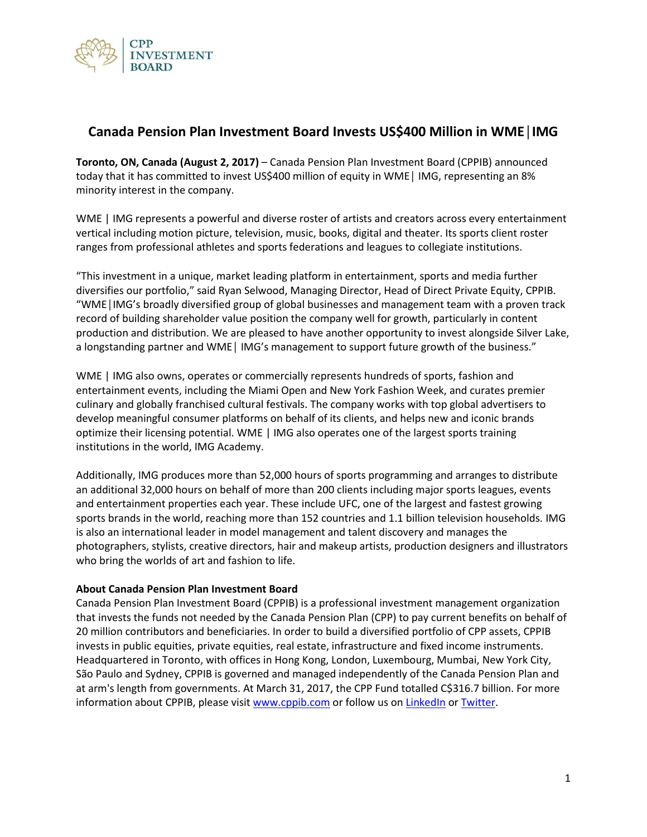

## **Canada Pension Plan Investment Board Invests US\$400 Million in WME│IMG**

**Toronto, ON, Canada (August 2, 2017)** – Canada Pension Plan Investment Board (CPPIB) announced today that it has committed to invest US\$400 million of equity in WME│ IMG, representing an 8% minority interest in the company.

WME | IMG represents a powerful and diverse roster of artists and creators across every entertainment vertical including motion picture, television, music, books, digital and theater. Its sports client roster ranges from professional athletes and sports federations and leagues to collegiate institutions.

"This investment in a unique, market leading platform in entertainment, sports and media further diversifies our portfolio," said Ryan Selwood, Managing Director, Head of Direct Private Equity, CPPIB. "WME│IMG's broadly diversified group of global businesses and management team with a proven track record of building shareholder value position the company well for growth, particularly in content production and distribution. We are pleased to have another opportunity to invest alongside Silver Lake, a longstanding partner and WME│ IMG's management to support future growth of the business."

WME | IMG also owns, operates or commercially represents hundreds of sports, fashion and entertainment events, including the Miami Open and New York Fashion Week, and curates premier culinary and globally franchised cultural festivals. The company works with top global advertisers to develop meaningful consumer platforms on behalf of its clients, and helps new and iconic brands optimize their licensing potential. WME | IMG also operates one of the largest sports training institutions in the world, IMG Academy.

Additionally, IMG produces more than 52,000 hours of sports programming and arranges to distribute an additional 32,000 hours on behalf of more than 200 clients including major sports leagues, events and entertainment properties each year. These include UFC, one of the largest and fastest growing sports brands in the world, reaching more than 152 countries and 1.1 billion television households. IMG is also an international leader in model management and talent discovery and manages the photographers, stylists, creative directors, hair and makeup artists, production designers and illustrators who bring the worlds of art and fashion to life.

## **About Canada Pension Plan Investment Board**

Canada Pension Plan Investment Board (CPPIB) is a professional investment management organization that invests the funds not needed by the Canada Pension Plan (CPP) to pay current benefits on behalf of 20 million contributors and beneficiaries. In order to build a diversified portfolio of CPP assets, CPPIB invests in public equities, private equities, real estate, infrastructure and fixed income instruments. Headquartered in Toronto, with offices in Hong Kong, London, Luxembourg, Mumbai, New York City, São Paulo and Sydney, CPPIB is governed and managed independently of the Canada Pension Plan and at arm's length from governments. At March 31, 2017, the CPP Fund totalled C\$316.7 billion. For more information about CPPIB, please visi[t www.cppib.com](http://www.cppib.com/) or follow us on [LinkedIn](https://www.linkedin.com/company/cpp-investment-board?trk=hb_tab_compy_id_23230) o[r Twitter.](https://twitter.com/cppib)